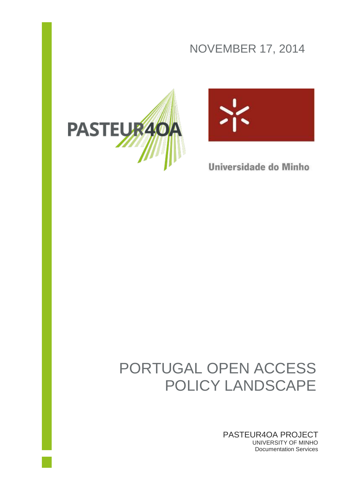## NOVEMBER 17, 2014





Universidade do Minho

# PORTUGAL OPEN ACCESS POLICY LANDSCAPE

PASTEUR4OA PROJECT UNIVERSITY OF MINHO Documentation Services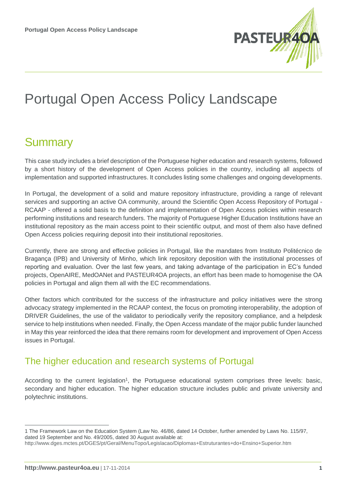

# Portugal Open Access Policy Landscape

## **Summary**

This case study includes a brief description of the Portuguese higher education and research systems, followed by a short history of the development of Open Access policies in the country, including all aspects of implementation and supported infrastructures. It concludes listing some challenges and ongoing developments.

In Portugal, the development of a solid and mature repository infrastructure, providing a range of relevant services and supporting an active OA community, around the Scientific Open Access Repository of Portugal - RCAAP - offered a solid basis to the definition and implementation of Open Access policies within research performing institutions and research funders. The majority of Portuguese Higher Education Institutions have an institutional repository as the main access point to their scientific output, and most of them also have defined Open Access policies requiring deposit into their institutional repositories.

Currently, there are strong and effective policies in Portugal, like the mandates from Instituto Politécnico de Bragança (IPB) and University of Minho, which link repository deposition with the institutional processes of reporting and evaluation. Over the last few years, and taking advantage of the participation in EC's funded projects, OpenAIRE, MedOANet and PASTEUR4OA projects, an effort has been made to homogenise the OA policies in Portugal and align them all with the EC recommendations.

Other factors which contributed for the success of the infrastructure and policy initiatives were the strong advocacy strategy implemented in the RCAAP context, the focus on promoting interoperability, the adoption of DRIVER Guidelines, the use of the validator to periodically verify the repository compliance, and a helpdesk service to help institutions when needed. Finally, the Open Access mandate of the major public funder launched in May this year reinforced the idea that there remains room for development and improvement of Open Access issues in Portugal.

#### The higher education and research systems of Portugal

According to the current legislation<sup>1</sup>, the Portuguese educational system comprises three levels: basic, secondary and higher education. The higher education structure includes public and private university and polytechnic institutions.

<sup>1</sup> The Framework Law on the Education System (Law No. 46/86, dated 14 October, further amended by Laws No. 115/97, dated 19 September and No. 49/2005, dated 30 August available at:

<http://www.dges.mctes.pt/DGES/pt/Geral/MenuTopo/Legislacao/Diplomas+Estruturantes+do+Ensino+Superior.htm>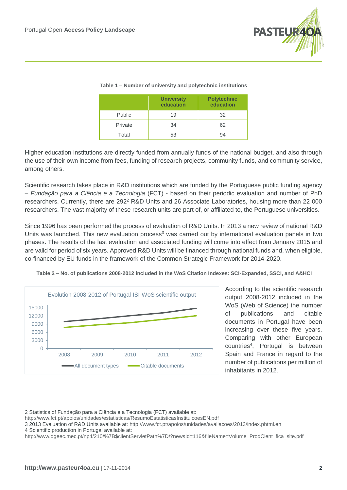

|               | <b>University</b><br>education | <b>Polytechnic</b><br>education |
|---------------|--------------------------------|---------------------------------|
| <b>Public</b> | 19                             | 32                              |
| Private       | 34                             | 62                              |
| Total         | 53                             | 94                              |

#### **Table 1 – Number of university and polytechnic institutions**

Higher education institutions are directly funded from annually funds of the national budget, and also through the use of their own income from fees, funding of research projects, community funds, and community service, among others.

Scientific research takes place in R&D institutions which are funded by the Portuguese public funding agency – *Fundação para a Ciência e a Tecnologia* (FCT) - based on their periodic evaluation and number of PhD researchers. Currently, there are 292<sup>2</sup> R&D Units and 26 Associate Laboratories, housing more than 22 000 researchers. The vast majority of these research units are part of, or affiliated to, the Portuguese universities.

Since 1996 has been performed the process of evaluation of R&D Units. In 2013 a new review of national R&D Units was launched. This new evaluation process<sup>3</sup> was carried out by international evaluation panels in two phases. The results of the last evaluation and associated funding will come into effect from January 2015 and are valid for period of six years. Approved R&D Units will be financed through national funds and, when eligible, co-financed by EU funds in the framework of the Common Strategic Framework for 2014-2020.



**Table 2 – No. of publications 2008-2012 included in the WoS Citation Indexes: SCI-Expanded, SSCI, and A&HCI**

According to the scientific research output 2008-2012 included in the WoS (Web of Science) the number of publications and citable documents in Portugal have been increasing over these five years. Comparing with other European countries<sup>4</sup> , Portugal is between Spain and France in regard to the number of publications per million of inhabitants in 2012.

<sup>2</sup> Statistics of Fundação para a Ciência e a Tecnologia (FCT) available at:

<http://www.fct.pt/apoios/unidades/estatisticas/ResumoEstatisticasInstituicoesEN.pdf>

<sup>3</sup> 2013 Evaluation of R&D Units available at:<http://www.fct.pt/apoios/unidades/avaliacoes/2013/index.phtml.en>

<sup>4</sup> Scientific production in Portugal available at:

[http://www.dgeec.mec.pt/np4/210/%7B\\$clientServletPath%7D/?newsId=116&fileName=Volume\\_ProdCient\\_fica\\_site.pdf](http://www.dgeec.mec.pt/np4/210/%7B$clientServletPath%7D/?newsId=116&fileName=Volume_ProdCient_fica_site.pdf)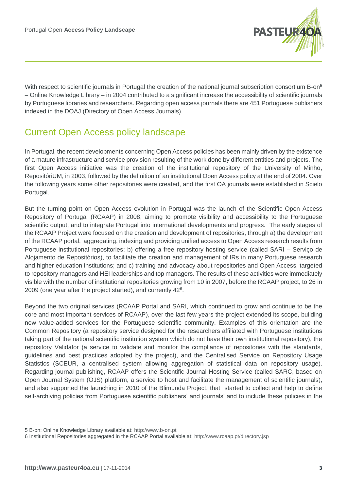

With respect to scientific journals in Portugal the creation of the national journal subscription consortium B-on<sup>5</sup> – Online Knowledge Library – in 2004 contributed to a significant increase the accessibility of scientific journals by Portuguese libraries and researchers. Regarding open access journals there are 451 Portuguese publishers indexed in the DOAJ (Directory of Open Access Journals).

### Current Open Access policy landscape

In Portugal, the recent developments concerning Open Access policies has been mainly driven by the existence of a mature infrastructure and service provision resulting of the work done by different entities and projects. The first Open Access initiative was the creation of the institutional repository of the University of Minho, RepositóriUM, in 2003, followed by the definition of an institutional Open Access policy at the end of 2004. Over the following years some other repositories were created, and the first OA journals were established in Scielo Portugal.

But the turning point on Open Access evolution in Portugal was the launch of the Scientific Open Access Repository of Portugal (RCAAP) in 2008, aiming to promote visibility and accessibility to the Portuguese scientific output, and to integrate Portugal into international developments and progress. The early stages of the RCAAP Project were focused on the creation and development of repositories, through a) the development of the RCAAP portal, aggregating, indexing and providing unified access to Open Access research results from Portuguese institutional repositories; b) offering a free repository hosting service (called SARI – Serviço de Alojamento de Repositórios), to facilitate the creation and management of IRs in many Portuguese research and higher education institutions; and c) training and advocacy about repositories and Open Access, targeted to repository managers and HEI leaderships and top managers. The results of these activities were immediately visible with the number of institutional repositories growing from 10 in 2007, before the RCAAP project, to 26 in 2009 (one year after the project started), and currently 42<sup>6</sup>.

Beyond the two original services (RCAAP Portal and SARI, which continued to grow and continue to be the core and most important services of RCAAP), over the last few years the project extended its scope, building new value-added services for the Portuguese scientific community. Examples of this orientation are the Common Repository (a repository service designed for the researchers affiliated with Portuguese institutions taking part of the national scientific institution system which do not have their own institutional repository), the repository Validator (a service to validate and monitor the compliance of repositories with the standards, guidelines and best practices adopted by the project), and the Centralised Service on Repository Usage Statistics (SCEUR, a centralised system allowing aggregation of statistical data on repository usage). Regarding journal publishing, RCAAP offers the Scientific Journal Hosting Service (called SARC, based on Open Journal System (OJS) platform, a service to host and facilitate the management of scientific journals), and also supported the launching in 2010 of the Blimunda Project, that started to collect and help to define self-archiving policies from Portuguese scientific publishers' and journals' and to include these policies in the

<sup>5</sup> B-on: Online Knowledge Library available at: [http://www.b-on.pt](http://www.b-on.pt/)

<sup>6</sup> Institutional Repositories aggregated in the RCAAP Portal available at:<http://www.rcaap.pt/directory.jsp>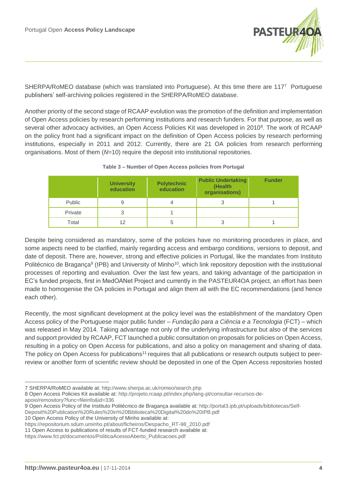

SHERPA/RoMEO database (which was translated into Portuguese). At this time there are 1177 Portuguese publishers' self-archiving policies registered in the SHERPA/RoMEO database.

Another priority of the second stage of RCAAP evolution was the promotion of the definition and implementation of Open Access policies by research performing institutions and research funders. For that purpose, as well as several other advocacy activities, an Open Access Policies Kit was developed in 2010<sup>8</sup>. The work of RCAAP on the policy front had a significant impact on the definition of Open Access policies by research performing institutions, especially in 2011 and 2012. Currently, there are 21 OA policies from research performing organisations. Most of them (*N*=10) require the deposit into institutional repositories.

|         | <b>University</b><br>education | <b>Polytechnic</b><br>education | <b>Public Undertaking</b><br>(Health<br>organisations) | <b>Funder</b> |
|---------|--------------------------------|---------------------------------|--------------------------------------------------------|---------------|
| Public  |                                | 4                               | 3                                                      |               |
| Private |                                |                                 |                                                        |               |
| Total   | 12                             | <sub>5</sub>                    |                                                        |               |

#### **Table 3 – Number of Open Access policies from Portugal**

Despite being considered as mandatory, some of the policies have no monitoring procedures in place, and some aspects need to be clarified, mainly regarding access and embargo conditions, versions to deposit, and date of deposit. There are, however, strong and effective policies in Portugal, like the mandates from Instituto Politécnico de Bragança<sup>9</sup> (IPB) and University of Minho<sup>10</sup>, which link repository deposition with the institutional processes of reporting and evaluation. Over the last few years, and taking advantage of the participation in EC's funded projects, first in MedOANet Project and currently in the PASTEUR4OA project, an effort has been made to homogenise the OA policies in Portugal and align them all with the EC recommendations (and hence each other).

Recently, the most significant development at the policy level was the establishment of the mandatory Open Access policy of the Portuguese major public funder – *Fundação para a Ciência e a Tecnologia* (FCT) – which was released in May 2014. Taking advantage not only of the underlying infrastructure but also of the services and support provided by RCAAP, FCT launched a public consultation on proposals for policies on Open Access, resulting in a policy on Open Access for publications, and also a policy on management and sharing of data. The policy on Open Access for publications<sup>11</sup> requires that all publications or research outputs subject to peerreview or another form of scientific review should be deposited in one of the Open Access repositories hosted

<sup>7</sup> SHERPA/RoMEO available at[: http://www.sherpa.ac.uk/romeo/search.php](http://www.sherpa.ac.uk/romeo/search.php)

<sup>8</sup> Open Access Policies Kit available at: [http://projeto.rcaap.pt/index.php/lang-pt/consultar-recursos-de-](http://projeto.rcaap.pt/index.php/lang-pt/consultar-recursos-de-apoio/remository?func=fileinfo&id=336)

[apoio/remository?func=fileinfo&id=336](http://projeto.rcaap.pt/index.php/lang-pt/consultar-recursos-de-apoio/remository?func=fileinfo&id=336)

<sup>9</sup> Open Access Policy of the Instituto Politécnico de Bragança available at: http://portal3.ipb.pt/uploads/bibliotecas/Self-

Deposit%20Publication%20Rules%20in%20Biblioteca%20Digital%20do%20IPB.pdf

<sup>10</sup> Open Access Policy of the University of Minho available at:

[https://repositorium.sdum.uminho.pt/about/ficheiros/Despacho\\_RT-98\\_2010.pdf](https://repositorium.sdum.uminho.pt/about/ficheiros/Despacho_RT-98_2010.pdf)

<sup>11</sup> Open Access to publications of results of FCT-funded research available at:

[https://www.fct.pt/documentos/PoliticaAcessoAberto\\_Publicacoes.pdf](https://www.fct.pt/documentos/PoliticaAcessoAberto_Publicacoes.pdf)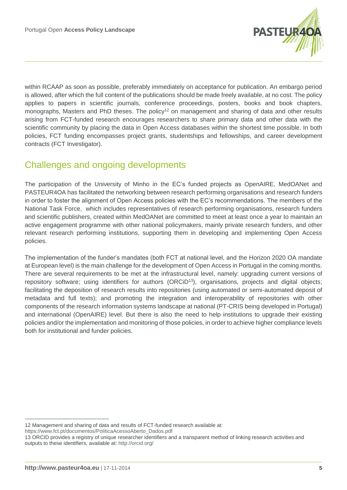

within RCAAP as soon as possible, preferably immediately on acceptance for publication. An embargo period is allowed, after which the full content of the publications should be made freely available, at no cost. The policy applies to papers in scientific journals, conference proceedings, posters, books and book chapters, monographs, Masters and PhD theses. The policy<sup>12</sup> on management and sharing of data and other results arising from FCT-funded research encourages researchers to share primary data and other data with the scientific community by placing the data in Open Access databases within the shortest time possible. In both policies, FCT funding encompasses project grants, studentships and fellowships, and career development contracts (FCT Investigator).

#### Challenges and ongoing developments

The participation of the University of Minho in the EC's funded projects as OpenAIRE, MedOANet and PASTEUR4OA has facilitated the networking between research performing organisations and research funders in order to foster the alignment of Open Access policies with the EC's recommendations. The members of the National Task Force, which includes representatives of research performing organisations, research funders and scientific publishers, created within MedOANet are committed to meet at least once a year to maintain an active engagement programme with other national policymakers, mainly private research funders, and other relevant research performing institutions, supporting them in developing and implementing Open Access policies.

The implementation of the funder's mandates (both FCT at national level, and the Horizon 2020 OA mandate at European level) is the main challenge for the development of Open Access in Portugal in the coming months. There are several requirements to be met at the infrastructural level, namely: upgrading current versions of repository software; using identifiers for authors (ORCiD<sup>13</sup>), organisations, projects and digital objects; facilitating the deposition of research results into repositories (using automated or semi-automated deposit of metadata and full texts); and promoting the integration and interoperability of repositories with other components of the research information systems landscape at national (PT-CRIS being developed in Portugal) and international (OpenAIRE) level. But there is also the need to help institutions to upgrade their existing policies and/or the implementation and monitoring of those policies, in order to achieve higher compliance levels both for institutional and funder policies.

[https://www.fct.pt/documentos/PoliticaAcessoAberto\\_Dados.pdf](https://www.fct.pt/documentos/PoliticaAcessoAberto_Dados.pdf)

<sup>12</sup> Management and sharing of data and results of FCT-funded research available at:

<sup>13</sup> ORCID provides a registry of unique researcher identifiers and a transparent method of linking research activities and outputs to these identifiers, available at:<http://orcid.org/>